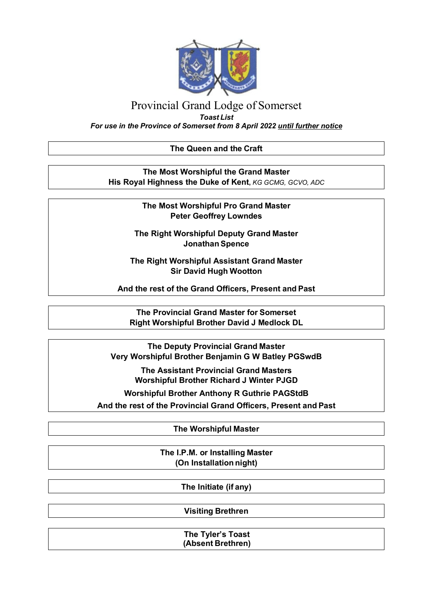

# Provincial Grand Lodge of Somerset

*Toast List*

*For use in the Province of Somerset from 8 April 2022 until further notice*

### **The Queen and the Craft**

**The Most Worshipful the Grand Master His Royal Highness the Duke of Kent,** *KG GCMG, GCVO, ADC*

> **The Most Worshipful Pro Grand Master Peter Geoffrey Lowndes**

**The Right Worshipful Deputy Grand Master Jonathan Spence**

**The Right Worshipful Assistant Grand Master Sir David Hugh Wootton**

**And the rest of the Grand Officers, Present and Past**

**The Provincial Grand Master for Somerset Right Worshipful Brother David J Medlock DL**

**The Deputy Provincial Grand Master Very Worshipful Brother Benjamin G W Batley PGSwdB**

> **The Assistant Provincial Grand Masters Worshipful Brother Richard J Winter PJGD**

**Worshipful Brother Anthony R Guthrie PAGStdB**

**And the rest of the Provincial Grand Officers, Present and Past**

**The Worshipful Master**

**The I.P.M. or Installing Master (On Installation night)**

**The Initiate (if any)**

**Visiting Brethren**

**The Tyler's Toast (Absent Brethren)**